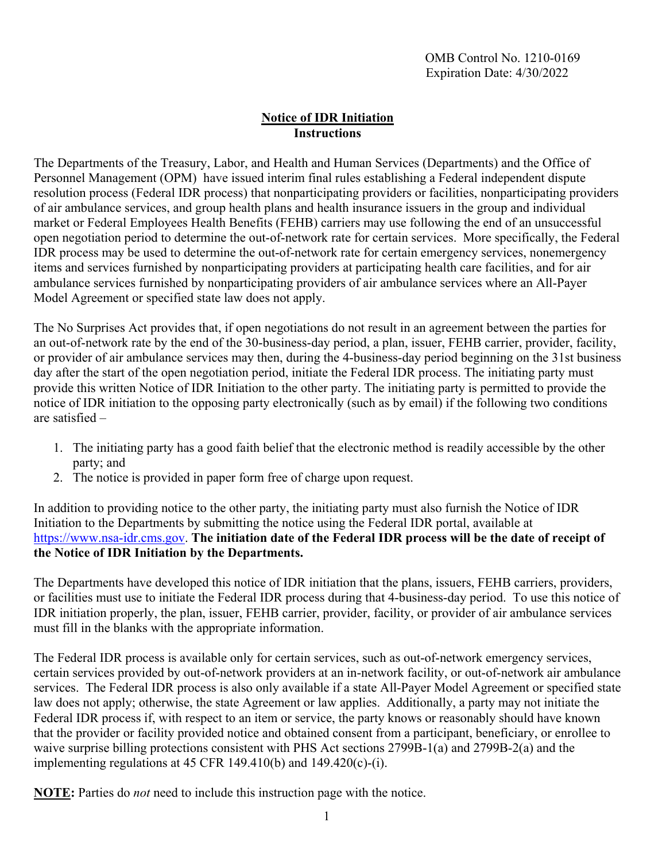### **Notice of IDR Initiation Instructions**

The Departments of the Treasury, Labor, and Health and Human Services (Departments) and the Office of Personnel Management (OPM) have issued interim final rules establishing a Federal independent dispute resolution process (Federal IDR process) that nonparticipating providers or facilities, nonparticipating providers of air ambulance services, and group health plans and health insurance issuers in the group and individual market or Federal Employees Health Benefits (FEHB) carriers may use following the end of an unsuccessful open negotiation period to determine the out-of-network rate for certain services. More specifically, the Federal IDR process may be used to determine the out-of-network rate for certain emergency services, nonemergency items and services furnished by nonparticipating providers at participating health care facilities, and for air ambulance services furnished by nonparticipating providers of air ambulance services where an All-Payer Model Agreement or specified state law does not apply.

The No Surprises Act provides that, if open negotiations do not result in an agreement between the parties for an out-of-network rate by the end of the 30-business-day period, a plan, issuer, FEHB carrier, provider, facility, or provider of air ambulance services may then, during the 4-business-day period beginning on the 31st business day after the start of the open negotiation period, initiate the Federal IDR process. The initiating party must provide this written Notice of IDR Initiation to the other party. The initiating party is permitted to provide the notice of IDR initiation to the opposing party electronically (such as by email) if the following two conditions are satisfied –

- 1. The initiating party has a good faith belief that the electronic method is readily accessible by the other party; and
- 2. The notice is provided in paper form free of charge upon request.

In addition to providing notice to the other party, the initiating party must also furnish the Notice of IDR Initiation to the Departments by submitting the notice using the Federal IDR portal, available at <https://www.nsa-idr.cms.gov>[.](https://www.nsa-idr.cms.gov/) **The initiation date of the Federal IDR process will be the date of receipt of the Notice of IDR Initiation by the Departments.** 

The Departments have developed this notice of IDR initiation that the plans, issuers, FEHB carriers, providers, or facilities must use to initiate the Federal IDR process during that 4-business-day period. To use this notice of IDR initiation properly, the plan, issuer, FEHB carrier, provider, facility, or provider of air ambulance services must fill in the blanks with the appropriate information.

The Federal IDR process is available only for certain services, such as out-of-network emergency services, certain services provided by out-of-network providers at an in-network facility, or out-of-network air ambulance services. The Federal IDR process is also only available if a state All-Payer Model Agreement or specified state law does not apply; otherwise, the state Agreement or law applies. Additionally, a party may not initiate the Federal IDR process if, with respect to an item or service, the party knows or reasonably should have known that the provider or facility provided notice and obtained consent from a participant, beneficiary, or enrollee to waive surprise billing protections consistent with PHS Act sections 2799B-1(a) and 2799B-2(a) and the implementing regulations at 45 CFR 149.410(b) and  $149.420(c)$ -(i).

**NOTE:** Parties do *not* need to include this instruction page with the notice.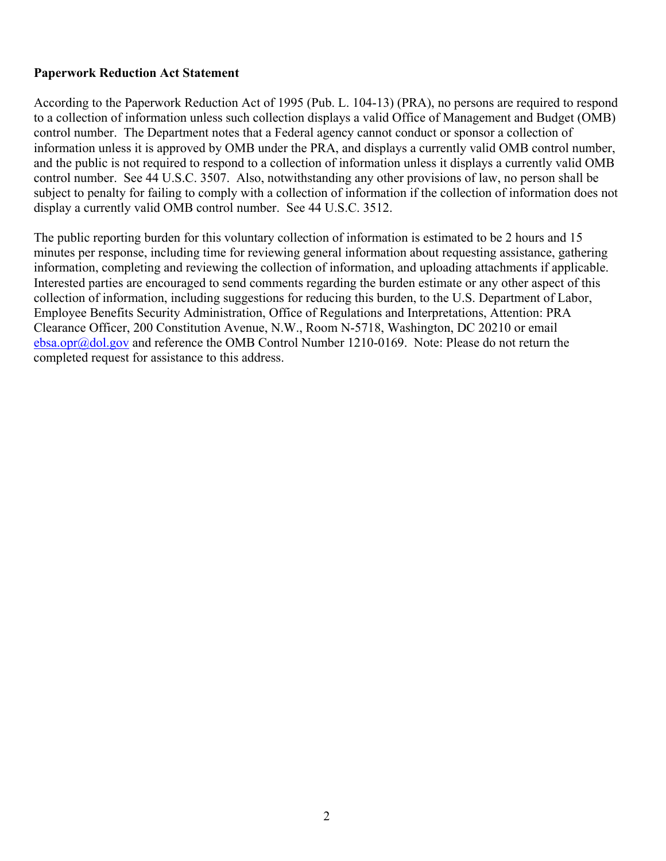#### **Paperwork Reduction Act Statement**

 information unless it is approved by OMB under the PRA, and displays a currently valid OMB control number, control number. See 44 U.S.C. 3507. Also, notwithstanding any other provisions of law, no person shall be According to the Paperwork Reduction Act of 1995 (Pub. L. 104-13) (PRA), no persons are required to respond to a collection of information unless such collection displays a valid Office of Management and Budget (OMB) control number. The Department notes that a Federal agency cannot conduct or sponsor a collection of and the public is not required to respond to a collection of information unless it displays a currently valid OMB subject to penalty for failing to comply with a collection of information if the collection of information does not display a currently valid OMB control number. See 44 U.S.C. 3512.

 The public reporting burden for this voluntary collection of information is estimated to be 2 hours and 15 Interested parties are encouraged to send comments regarding the burden estimate or any other aspect of this minutes per response, including time for reviewing general information about requesting assistance, gathering information, completing and reviewing the collection of information, and uploading attachments if applicable. collection of information, including suggestions for reducing this burden, to the U.S. Department of Labor, Employee Benefits Security Administration, Office of Regulations and Interpretations, Attention: PRA Clearance Officer, 200 Constitution Avenue, N.W., Room N-5718, Washington, DC 20210 or email  $ebsa.$ opr $@$ dol.gov and reference the OMB Control Number 1210-0169. Note: Please do not return the completed request for assistance to this address.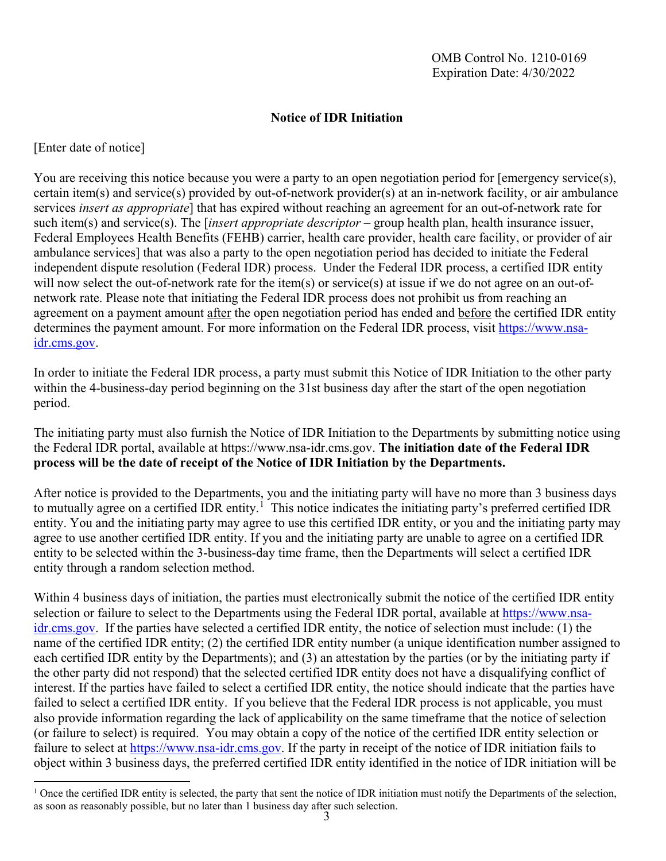### **Notice of IDR Initiation**

[Enter date of notice]

 such item(s) and service(s). The [*insert appropriate descriptor* – group health plan, health insurance issuer, Federal Employees Health Benefits (FEHB) carrier, health care provider, health care facility, or provider of air ambulance services] that was also a party to the open negotiation period has decided to initiate the Federal independent dispute resolution (Federal IDR) process. Under the Federal IDR process, a certified IDR entity will now select the out-of-network rate for the item(s) or service(s) at issue if we do not agree on an out-of- network rate. Please note that initiating the Federal IDR process does not prohibit us from reaching an agreement on a payment amount after the open negotiation period has ended and before the certified IDR entity determines the payment amount. For more information on the Federal IDR process, visit [h](https://www.nsa-idr.cms.gov/)[ttps://www.nsa](https://www.nsa)idr.cms.gov. You are receiving this notice because you were a party to an open negotiation period for [emergency service(s), certain item(s) and service(s) provided by out-of-network provider(s) at an in-network facility, or air ambulance services *insert as appropriate*] that has expired without reaching an agreement for an out-of-network rate for

[idr.cms.gov.](https://www.nsa-idr.cms.gov/)<br>In order to initiate the Federal IDR process, a party must submit this Notice of IDR Initiation to the other party within the 4-business-day period beginning on the 31st business day after the start of the open negotiation period.

 The initiating party must also furnish the Notice of IDR Initiation to the Departments by submitting notice using the Federal IDR portal, available at<https://www.nsa-idr.cms.gov>. **The initiation date of the Federal IDR process will be the date of receipt of the Notice of IDR Initiation by the Departments.** 

 After notice is provided to the Departments, you and the initiating party will have no more than 3 business days to mutually agree on a certified IDR entity.<sup>1</sup> This notice indicates the initiating party's preferred certified IDR entity. You and the initiating party may agree to use this certified IDR entity, or you and the initiating party may entity to be selected within the 3-business-day time frame, then the Departments will select a certified IDR agree to use another certified IDR entity. If you and the initiating party are unable to agree on a certified IDR entity through a random selection method.

 Within 4 business days of initiation, the parties must electronically submit the notice of the certified IDR entity selectionor failure to select to the Departments using the Federal IDR portal, available at [https://www.ns](https://www.nsa)[a](https://www.nsa-idr.cms.gov/)[idr.cms.gov](https://idr.cms.gov)[.](https://www.nsa-idr.cms.gov/) If the parties have selected a certified IDR entity, the notice of selection must include: (1) the the other party did not respond) that the selected certified IDR entity does not have a disqualifying conflict of failed to select a certified IDR entity. If you believe that the Federal IDR process is not applicable, you must (or failure to select) is required. You may obtain a copy of the notice of the certified IDR entity selection or name of the certified IDR entity; (2) the certified IDR entity number (a unique identification number assigned to each certified IDR entity by the Departments); and (3) an attestation by the parties (or by the initiating party if interest. If the parties have failed to select a certified IDR entity, the notice should indicate that the parties have also provide information regarding the lack of applicability on the same timeframe that the notice of selection failure to select at [https://www.nsa-idr.cms.gov.](https://www.nsa-idr.cms.gov/) If the party in receipt of the notice of IDR initiation fails to object within 3 business days, the preferred certified IDR entity identified in the notice of IDR initiation will be

 $\overline{a}$  $1$  Once the certified IDR entity is selected, the party that sent the notice of IDR initiation must notify the Departments of the selection, as soon as reasonably possible, but no later than 1 business day after such selection.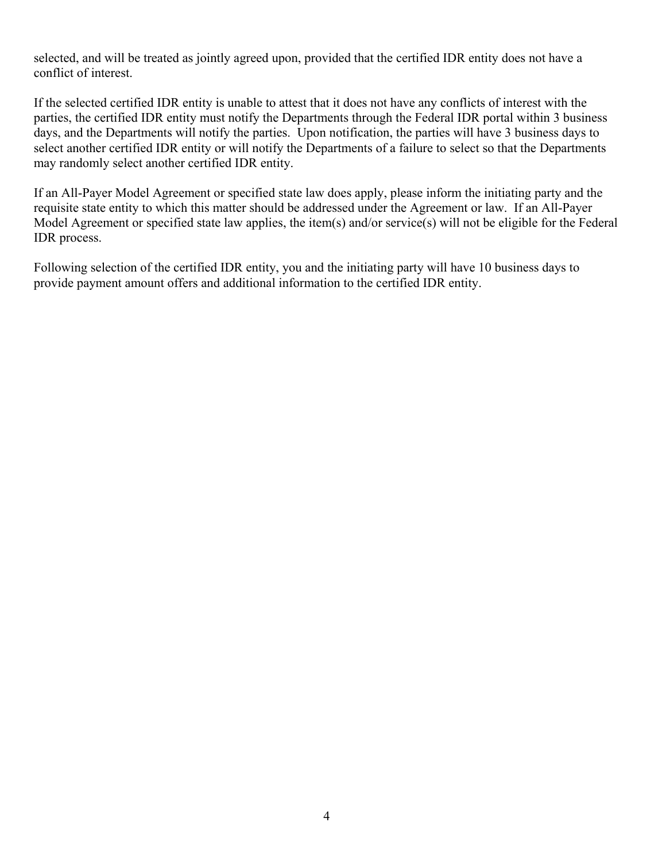selected, and will be treated as jointly agreed upon, provided that the certified IDR entity does not have a conflict of interest.

 parties, the certified IDR entity must notify the Departments through the Federal IDR portal within 3 business days, and the Departments will notify the parties. Upon notification, the parties will have 3 business days to select another certified IDR entity or will notify the Departments of a failure to select so that the Departments may randomly select another certified IDR entity. If the selected certified IDR entity is unable to attest that it does not have any conflicts of interest with the

may randomly select another certified IDR entity.<br>If an All-Payer Model Agreement or specified state law does apply, please inform the initiating party and the requisite state entity to which this matter should be addressed under the Agreement or law. If an All-Payer Model Agreement or specified state law applies, the item(s) and/or service(s) will not be eligible for the Federal IDR process.

 Following selection of the certified IDR entity, you and the initiating party will have 10 business days to provide payment amount offers and additional information to the certified IDR entity.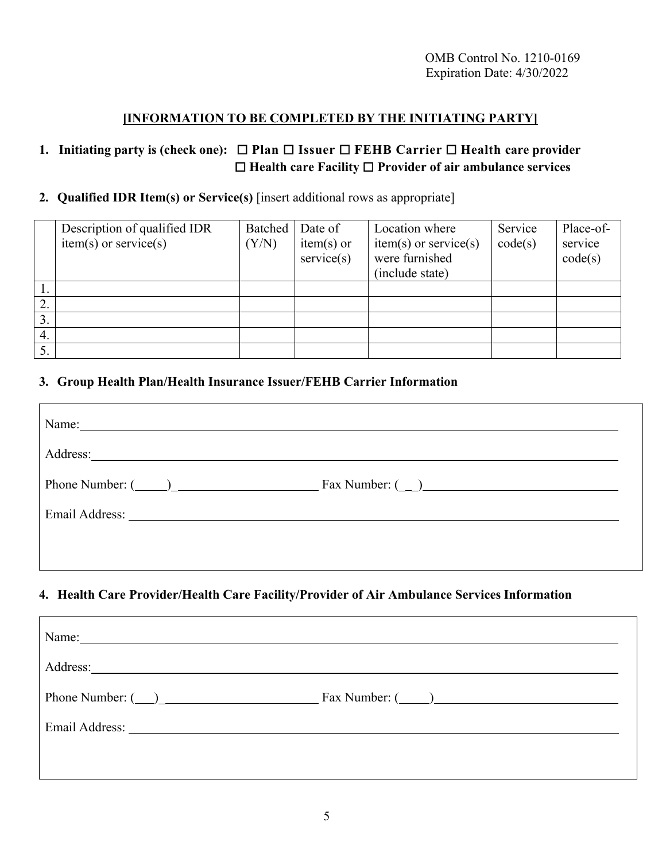# **[INFORMATION TO BE COMPLETED BY THE INITIATING PARTY]**

## **1. Initiating party is (check one):** ☐ **Plan** ☐ **Issuer** ☐ **FEHB Carrier** ☐ **Health care provider**  ☐ **Health care Facility** ☐ **Provider of air ambulance services**

### **2. Qualified IDR Item(s) or Service(s)** [insert additional rows as appropriate]

|    | Description of qualified IDR<br>$item(s)$ or service(s) | Batched<br>(Y/N) | Date of<br>$item(s)$ or<br>$s$ ervice $(s)$ | Location where<br>$item(s)$ or service(s)<br>were furnished<br>(include state) | Service<br>code(s) | Place-of-<br>service<br>code(s) |
|----|---------------------------------------------------------|------------------|---------------------------------------------|--------------------------------------------------------------------------------|--------------------|---------------------------------|
|    |                                                         |                  |                                             |                                                                                |                    |                                 |
| 2. |                                                         |                  |                                             |                                                                                |                    |                                 |
| 3. |                                                         |                  |                                             |                                                                                |                    |                                 |
| 4. |                                                         |                  |                                             |                                                                                |                    |                                 |
|    |                                                         |                  |                                             |                                                                                |                    |                                 |

### **3. Group Health Plan/Health Insurance Issuer/FEHB Carrier Information**

| Name:                                             |
|---------------------------------------------------|
| Address:                                          |
| Fax Number: $\begin{pmatrix} 0 & 1 \end{pmatrix}$ |
|                                                   |
|                                                   |
|                                                   |

### **4. Health Care Provider/Health Care Facility/Provider of Air Ambulance Services Information**

| Name: |  |
|-------|--|
|       |  |
|       |  |